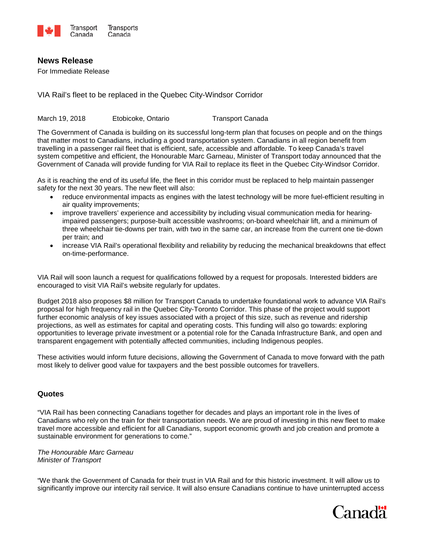

## **News Release**

For Immediate Release

VIA Rail's fleet to be replaced in the Quebec City-Windsor Corridor

March 19, 2018 Etobicoke, Ontario Transport Canada

The Government of Canada is building on its successful long-term plan that focuses on people and on the things that matter most to Canadians, including a good transportation system. Canadians in all region benefit from travelling in a passenger rail fleet that is efficient, safe, accessible and affordable. To keep Canada's travel system competitive and efficient, the Honourable Marc Garneau, Minister of Transport today announced that the Government of Canada will provide funding for VIA Rail to replace its fleet in the Quebec City-Windsor Corridor.

As it is reaching the end of its useful life, the fleet in this corridor must be replaced to help maintain passenger safety for the next 30 years. The new fleet will also:

- reduce environmental impacts as engines with the latest technology will be more fuel-efficient resulting in air quality improvements;
- improve travellers' experience and accessibility by including visual communication media for hearingimpaired passengers; purpose-built accessible washrooms; on-board wheelchair lift, and a minimum of three wheelchair tie-downs per train, with two in the same car, an increase from the current one tie-down per train; and
- increase VIA Rail's operational flexibility and reliability by reducing the mechanical breakdowns that effect on-time-performance.

VIA Rail will soon launch a request for qualifications followed by a request for proposals. Interested bidders are encouraged to visit VIA Rail's website regularly for updates.

Budget 2018 also proposes \$8 million for Transport Canada to undertake foundational work to advance VIA Rail's proposal for high frequency rail in the Quebec City-Toronto Corridor. This phase of the project would support further economic analysis of key issues associated with a project of this size, such as revenue and ridership projections, as well as estimates for capital and operating costs. This funding will also go towards: exploring opportunities to leverage private investment or a potential role for the Canada Infrastructure Bank, and open and transparent engagement with potentially affected communities, including Indigenous peoples.

These activities would inform future decisions, allowing the Government of Canada to move forward with the path most likely to deliver good value for taxpayers and the best possible outcomes for travellers.

### **Quotes**

"VIA Rail has been connecting Canadians together for decades and plays an important role in the lives of Canadians who rely on the train for their transportation needs. We are proud of investing in this new fleet to make travel more accessible and efficient for all Canadians, support economic growth and job creation and promote a sustainable environment for generations to come."

*The Honourable Marc Garneau Minister of Transport* 

"We thank the Government of Canada for their trust in VIA Rail and for this historic investment. It will allow us to significantly improve our intercity rail service. It will also ensure Canadians continue to have uninterrupted access